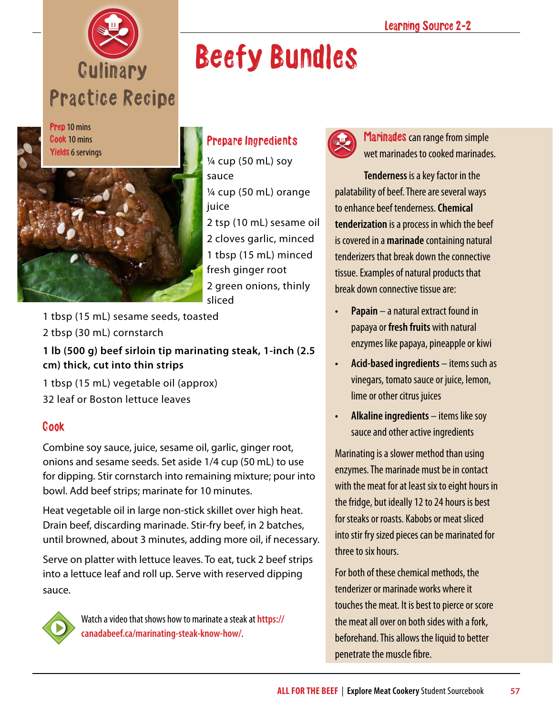



## Beefy Bundles



 $\frac{1}{4}$  cup (50 mL) soy sauce ¼ cup (50 mL) orange juice 2 tsp (10 mL) sesame oil

2 cloves garlic, minced 1 tbsp (15 mL) minced fresh ginger root 2 green onions, thinly sliced

- 1 tbsp (15 mL) sesame seeds, toasted
- 2 tbsp (30 mL) cornstarch

**1 lb (500 g) beef sirloin tip marinating steak, 1-inch (2.5 cm) thick, cut into thin strips**

- 1 tbsp (15 mL) vegetable oil (approx)
- 32 leaf or Boston lettuce leaves

## Cook

Combine soy sauce, juice, sesame oil, garlic, ginger root, onions and sesame seeds. Set aside 1/4 cup (50 mL) to use for dipping. Stir cornstarch into remaining mixture; pour into bowl. Add beef strips; marinate for 10 minutes.

Heat vegetable oil in large non-stick skillet over high heat. Drain beef, discarding marinade. Stir-fry beef, in 2 batches, until browned, about 3 minutes, adding more oil, if necessary.

Serve on platter with lettuce leaves. To eat, tuck 2 beef strips into a lettuce leaf and roll up. Serve with reserved dipping sauce.



Watch a video that shows how to marinate a steak at **[https://](https://canadabeef.ca/marinating-steak-know-how/) [canadabeef.ca/marinating-steak-know-how/](https://canadabeef.ca/marinating-steak-know-how/)**.



Marinades can range from simple wet marinades to cooked marinades.

**Tenderness** is a key factor in the palatability of beef. There are several ways to enhance beef tenderness. **Chemical tenderization** is a process in which the beef is covered in a **marinade** containing natural tenderizers that break down the connective tissue. Examples of natural products that break down connective tissue are:

- **• Papain** a natural extract found in papaya or **fresh fruits** with natural enzymes like papaya, pineapple or kiwi
- **• Acid-based ingredients** items such as vinegars, tomato sauce or juice, lemon, lime or other citrus juices
- **• Alkaline ingredients** items like soy sauce and other active ingredients

Marinating is a slower method than using enzymes. The marinade must be in contact with the meat for at least six to eight hours in the fridge, but ideally 12 to 24 hours is best for steaks or roasts. Kabobs or meat sliced into stir fry sized pieces can be marinated for three to six hours.

For both of these chemical methods, the tenderizer or marinade works where it touches the meat. It is best to pierce or score the meat all over on both sides with a fork, beforehand. This allows the liquid to better penetrate the muscle fibre.